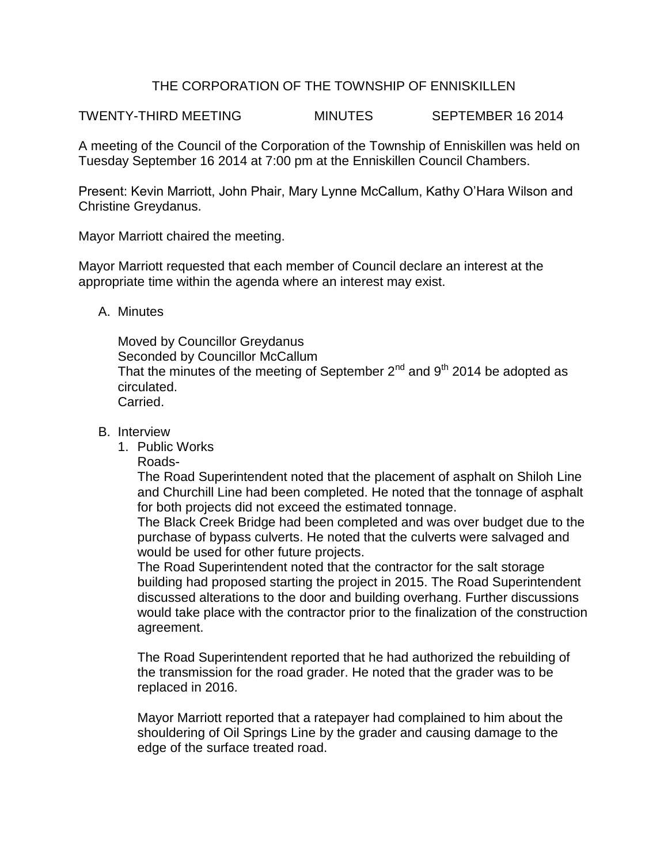## THE CORPORATION OF THE TOWNSHIP OF ENNISKILLEN

TWENTY-THIRD MEETING MINUTES SEPTEMBER 16 2014

A meeting of the Council of the Corporation of the Township of Enniskillen was held on Tuesday September 16 2014 at 7:00 pm at the Enniskillen Council Chambers.

Present: Kevin Marriott, John Phair, Mary Lynne McCallum, Kathy O'Hara Wilson and Christine Greydanus.

Mayor Marriott chaired the meeting.

Mayor Marriott requested that each member of Council declare an interest at the appropriate time within the agenda where an interest may exist.

A. Minutes

Moved by Councillor Greydanus Seconded by Councillor McCallum That the minutes of the meeting of September  $2^{nd}$  and  $9^{th}$  2014 be adopted as circulated. Carried.

- B. Interview
	- 1. Public Works
		- Roads-

The Road Superintendent noted that the placement of asphalt on Shiloh Line and Churchill Line had been completed. He noted that the tonnage of asphalt for both projects did not exceed the estimated tonnage.

The Black Creek Bridge had been completed and was over budget due to the purchase of bypass culverts. He noted that the culverts were salvaged and would be used for other future projects.

The Road Superintendent noted that the contractor for the salt storage building had proposed starting the project in 2015. The Road Superintendent discussed alterations to the door and building overhang. Further discussions would take place with the contractor prior to the finalization of the construction agreement.

The Road Superintendent reported that he had authorized the rebuilding of the transmission for the road grader. He noted that the grader was to be replaced in 2016.

Mayor Marriott reported that a ratepayer had complained to him about the shouldering of Oil Springs Line by the grader and causing damage to the edge of the surface treated road.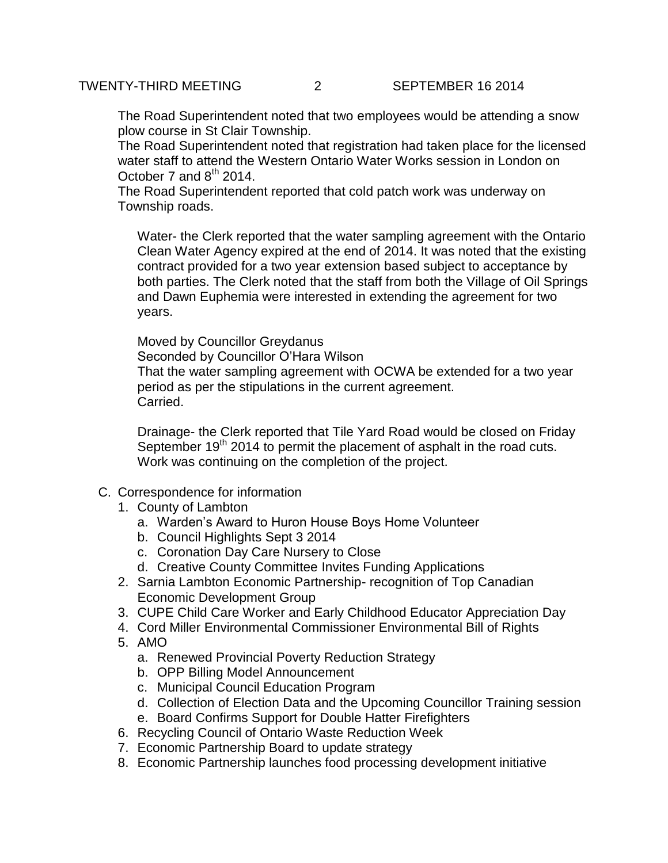The Road Superintendent noted that two employees would be attending a snow plow course in St Clair Township.

The Road Superintendent noted that registration had taken place for the licensed water staff to attend the Western Ontario Water Works session in London on October 7 and  $8<sup>th</sup>$  2014.

The Road Superintendent reported that cold patch work was underway on Township roads.

Water- the Clerk reported that the water sampling agreement with the Ontario Clean Water Agency expired at the end of 2014. It was noted that the existing contract provided for a two year extension based subject to acceptance by both parties. The Clerk noted that the staff from both the Village of Oil Springs and Dawn Euphemia were interested in extending the agreement for two years.

Moved by Councillor Greydanus Seconded by Councillor O'Hara Wilson

That the water sampling agreement with OCWA be extended for a two year period as per the stipulations in the current agreement. Carried.

Drainage- the Clerk reported that Tile Yard Road would be closed on Friday September  $19<sup>th</sup>$  2014 to permit the placement of asphalt in the road cuts. Work was continuing on the completion of the project.

- C. Correspondence for information
	- 1. County of Lambton
		- a. Warden's Award to Huron House Boys Home Volunteer
		- b. Council Highlights Sept 3 2014
		- c. Coronation Day Care Nursery to Close
		- d. Creative County Committee Invites Funding Applications
	- 2. Sarnia Lambton Economic Partnership- recognition of Top Canadian Economic Development Group
	- 3. CUPE Child Care Worker and Early Childhood Educator Appreciation Day
	- 4. Cord Miller Environmental Commissioner Environmental Bill of Rights
	- 5. AMO
		- a. Renewed Provincial Poverty Reduction Strategy
		- b. OPP Billing Model Announcement
		- c. Municipal Council Education Program
		- d. Collection of Election Data and the Upcoming Councillor Training session
		- e. Board Confirms Support for Double Hatter Firefighters
	- 6. Recycling Council of Ontario Waste Reduction Week
	- 7. Economic Partnership Board to update strategy
	- 8. Economic Partnership launches food processing development initiative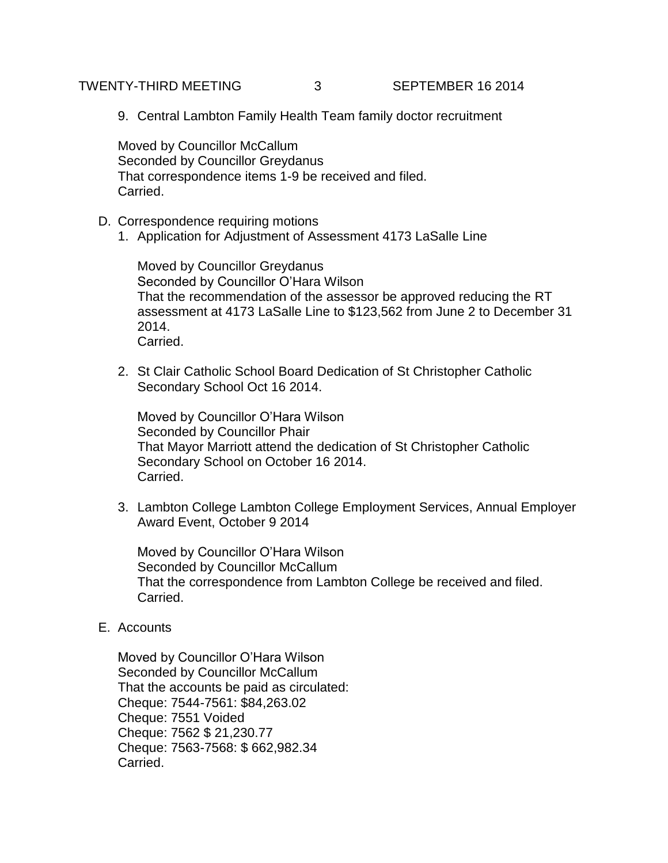TWENTY-THIRD MEETING 3 SEPTEMBER 16 2014

9. Central Lambton Family Health Team family doctor recruitment

Moved by Councillor McCallum Seconded by Councillor Greydanus That correspondence items 1-9 be received and filed. Carried.

- D. Correspondence requiring motions
	- 1. Application for Adjustment of Assessment 4173 LaSalle Line

Moved by Councillor Greydanus Seconded by Councillor O'Hara Wilson That the recommendation of the assessor be approved reducing the RT assessment at 4173 LaSalle Line to \$123,562 from June 2 to December 31 2014. Carried.

2. St Clair Catholic School Board Dedication of St Christopher Catholic Secondary School Oct 16 2014.

Moved by Councillor O'Hara Wilson Seconded by Councillor Phair That Mayor Marriott attend the dedication of St Christopher Catholic Secondary School on October 16 2014. Carried.

3. Lambton College Lambton College Employment Services, Annual Employer Award Event, October 9 2014

Moved by Councillor O'Hara Wilson Seconded by Councillor McCallum That the correspondence from Lambton College be received and filed. Carried.

E. Accounts

Moved by Councillor O'Hara Wilson Seconded by Councillor McCallum That the accounts be paid as circulated: Cheque: 7544-7561: \$84,263.02 Cheque: 7551 Voided Cheque: 7562 \$ 21,230.77 Cheque: 7563-7568: \$ 662,982.34 Carried.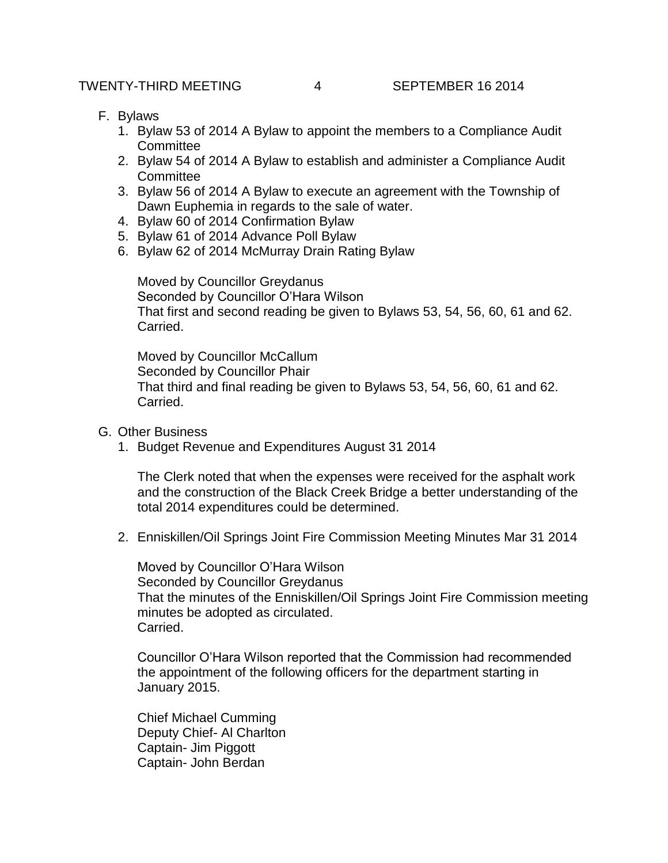- F. Bylaws
	- 1. Bylaw 53 of 2014 A Bylaw to appoint the members to a Compliance Audit **Committee**
	- 2. Bylaw 54 of 2014 A Bylaw to establish and administer a Compliance Audit **Committee**
	- 3. Bylaw 56 of 2014 A Bylaw to execute an agreement with the Township of Dawn Euphemia in regards to the sale of water.
	- 4. Bylaw 60 of 2014 Confirmation Bylaw
	- 5. Bylaw 61 of 2014 Advance Poll Bylaw
	- 6. Bylaw 62 of 2014 McMurray Drain Rating Bylaw

Moved by Councillor Greydanus Seconded by Councillor O'Hara Wilson That first and second reading be given to Bylaws 53, 54, 56, 60, 61 and 62. Carried.

Moved by Councillor McCallum Seconded by Councillor Phair That third and final reading be given to Bylaws 53, 54, 56, 60, 61 and 62. Carried.

- G. Other Business
	- 1. Budget Revenue and Expenditures August 31 2014

The Clerk noted that when the expenses were received for the asphalt work and the construction of the Black Creek Bridge a better understanding of the total 2014 expenditures could be determined.

2. Enniskillen/Oil Springs Joint Fire Commission Meeting Minutes Mar 31 2014

Moved by Councillor O'Hara Wilson Seconded by Councillor Greydanus That the minutes of the Enniskillen/Oil Springs Joint Fire Commission meeting minutes be adopted as circulated. Carried.

Councillor O'Hara Wilson reported that the Commission had recommended the appointment of the following officers for the department starting in January 2015.

Chief Michael Cumming Deputy Chief- Al Charlton Captain- Jim Piggott Captain- John Berdan